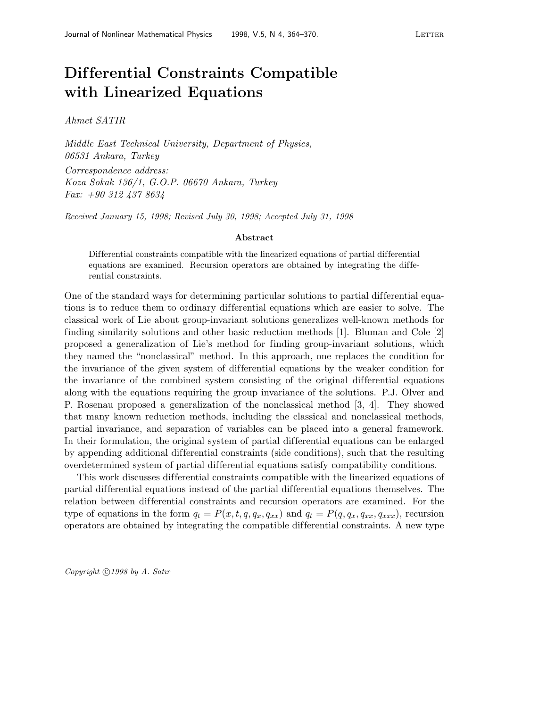## **Dif ferential Constraints Compatible with Linearized Equations**

Ahmet SATIR

Middle East Technical University, Department of Physics, 06531 Ankara, Turkey Correspondence address: Koza Sokak 136/1, G.O.P. 06670 Ankara, Turkey Fax: +90 312 437 8634

Received January 15, 1998; Revised July 30, 1998; Accepted July 31, 1998

## **Abstract**

Differential constraints compatible with the linearized equations of partial differential equations are examined. Recursion operators are obtained by integrating the differential constraints.

One of the standard ways for determining particular solutions to partial differential equations is to reduce them to ordinary dif ferential equations which are easier to solve. The classical work of Lie about group-invariant solutions generalizes well-known methods for finding similarity solutions and other basic reduction methods [1]. Bluman and Cole [2] proposed a generalization of Lie's method for finding group-invariant solutions, which they named the "nonclassical" method. In this approach, one replaces the condition for the invariance of the given system of dif ferential equations by the weaker condition for the invariance of the combined system consisting of the original differential equations along with the equations requiring the group invariance of the solutions. P.J. Olver and P. Rosenau proposed a generalization of the nonclassical method [3, 4]. They showed that many known reduction methods, including the classical and nonclassical methods, partial invariance, and separation of variables can be placed into a general framework. In their formulation, the original system of partial differential equations can be enlarged by appending additional dif ferential constraints (side conditions), such that the resulting overdetermined system of partial differential equations satisfy compatibility conditions.

This work discusses dif ferential constraints compatible with the linearized equations of partial dif ferential equations instead of the partial dif ferential equations themselves. The relation between differential constraints and recursion operators are examined. For the type of equations in the form  $q_t = P(x, t, q, q_x, q_{xx})$  and  $q_t = P(q, q_x, q_{xx}, q_{xxx})$ , recursion operators are obtained by integrating the compatible dif ferential constraints. A new type

Copyright  $\bigcirc$  1998 by A. Satır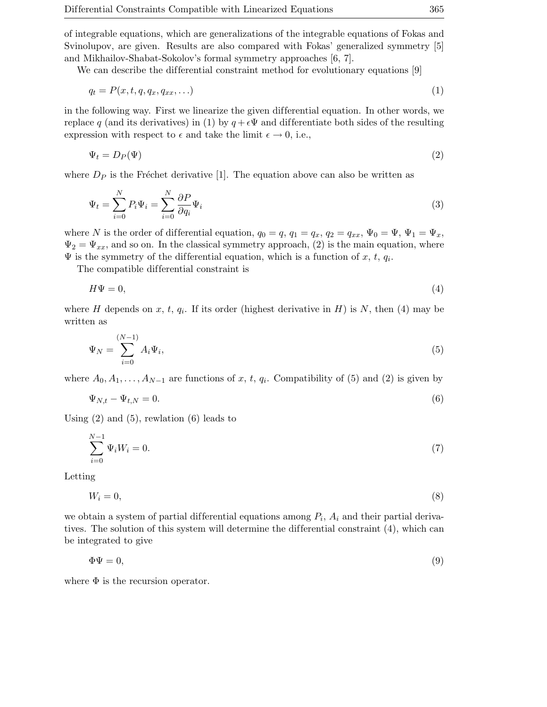of integrable equations, which are generalizations of the integrable equations of Fokas and Svinolupov, are given. Results are also compared with Fokas' generalized symmetry [5] and Mikhailov-Shabat-Sokolov's formal symmetry approaches [6, 7].

We can describe the differential constraint method for evolutionary equations [9]

$$
q_t = P(x, t, q, q_x, q_{xx}, \ldots) \tag{1}
$$

in the following way. First we linearize the given dif ferential equation. In other words, we replace q (and its derivatives) in (1) by  $q + \epsilon \Psi$  and differentiate both sides of the resulting expression with respect to  $\epsilon$  and take the limit  $\epsilon \to 0$ , i.e.,

$$
\Psi_t = D_P(\Psi) \tag{2}
$$

where  $D_P$  is the Fréchet derivative [1]. The equation above can also be written as

$$
\Psi_t = \sum_{i=0}^{N} P_i \Psi_i = \sum_{i=0}^{N} \frac{\partial P}{\partial q_i} \Psi_i
$$
\n(3)

where N is the order of differential equation,  $q_0 = q$ ,  $q_1 = q_x$ ,  $q_2 = q_{xx}$ ,  $\Psi_0 = \Psi$ ,  $\Psi_1 = \Psi_x$ ,  $\Psi_2 = \Psi_{xx}$ , and so on. In the classical symmetry approach, (2) is the main equation, where  $\Psi$  is the symmetry of the differential equation, which is a function of x, t,  $q_i$ .

The compatible differential constraint is

$$
H\Psi = 0,\t\t(4)
$$

where H depends on x, t,  $q_i$ . If its order (highest derivative in H) is N, then (4) may be written as

$$
\Psi_N = \sum_{i=0}^{(N-1)} A_i \Psi_i,
$$
\n(5)

where  $A_0, A_1, \ldots, A_{N-1}$  are functions of x, t,  $q_i$ . Compatibility of (5) and (2) is given by

$$
\Psi_{N,t} - \Psi_{t,N} = 0. \tag{6}
$$

Using  $(2)$  and  $(5)$ , rewlation  $(6)$  leads to

$$
\sum_{i=0}^{N-1} \Psi_i W_i = 0.
$$
\n(7)

Letting

$$
W_i = 0,\t\t(8)
$$

we obtain a system of partial differential equations among  $P_i$ ,  $A_i$  and their partial derivatives. The solution of this system will determine the differential constraint  $(4)$ , which can be integrated to give

$$
\Phi \Psi = 0,\tag{9}
$$

where  $\Phi$  is the recursion operator.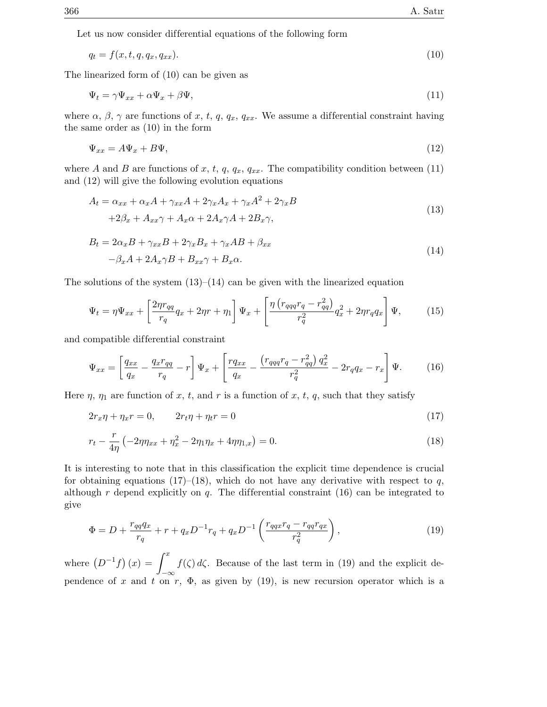Let us now consider differential equations of the following form

$$
q_t = f(x, t, q, q_x, q_{xx}). \tag{10}
$$

The linearized form of (10) can be given as

$$
\Psi_t = \gamma \Psi_{xx} + \alpha \Psi_x + \beta \Psi, \tag{11}
$$

where  $\alpha$ ,  $\beta$ ,  $\gamma$  are functions of x, t, q,  $q_x$ ,  $q_{xx}$ . We assume a differential constraint having the same order as (10) in the form

$$
\Psi_{xx} = A\Psi_x + B\Psi,\tag{12}
$$

where A and B are functions of x, t, q,  $q_x$ ,  $q_{xx}$ . The compatibility condition between (11) and (12) will give the following evolution equations

$$
A_t = \alpha_{xx} + \alpha_x A + \gamma_{xx} A + 2\gamma_x A_x + \gamma_x A^2 + 2\gamma_x B
$$
  
+2 $\beta_x$  +  $A_{xx}\gamma$  +  $A_x\alpha$  + 2 $A_x\gamma A$  + 2 $B_x\gamma$ , (13)

$$
B_t = 2\alpha_x B + \gamma_{xx} B + 2\gamma_x B_x + \gamma_x AB + \beta_{xx}
$$
  

$$
-\beta_x A + 2A_x \gamma B + B_{xx} \gamma + B_x \alpha.
$$
 (14)

The solutions of the system  $(13)$ – $(14)$  can be given with the linearized equation

$$
\Psi_t = \eta \Psi_{xx} + \left[\frac{2\eta r_{qq}}{r_q}q_x + 2\eta r + \eta_1\right] \Psi_x + \left[\frac{\eta \left(r_{qqq}r_q - r_{qq}^2\right)}{r_q^2}q_x^2 + 2\eta r_q q_x\right] \Psi,\tag{15}
$$

and compatible dif ferential constraint

$$
\Psi_{xx} = \left[ \frac{q_{xx}}{q_x} - \frac{q_x r_{qq}}{r_q} - r \right] \Psi_x + \left[ \frac{r q_{xx}}{q_x} - \frac{\left( r_{qqq} r_q - r_{qq}^2 \right) q_x^2}{r_q^2} - 2r_q q_x - r_x \right] \Psi. \tag{16}
$$

Here  $\eta$ ,  $\eta_1$  are function of x, t, and r is a function of x, t, q, such that they satisfy

$$
2r_x\eta + \eta_x r = 0, \qquad 2r_t\eta + \eta_t r = 0 \tag{17}
$$

$$
r_t - \frac{r}{4\eta} \left( -2\eta \eta_{xx} + \eta_x^2 - 2\eta_1 \eta_x + 4\eta \eta_{1,x} \right) = 0. \tag{18}
$$

It is interesting to note that in this classification the explicit time dependence is crucial for obtaining equations (17)–(18), which do not have any derivative with respect to q, although  $r$  depend explicitly on  $q$ . The differential constraint (16) can be integrated to give

$$
\Phi = D + \frac{r_{qq}q_x}{r_q} + r + q_x D^{-1} r_q + q_x D^{-1} \left( \frac{r_{qqx}r_q - r_{qq}r_{qx}}{r_q^2} \right),\tag{19}
$$

where  $(D^{-1}f)(x) = \int_0^x f(\zeta) d\zeta$ . Because of the last term in (19) and the explicit dependence of x and t on r,  $\Phi$ , as given by (19), is new recursion operator which is a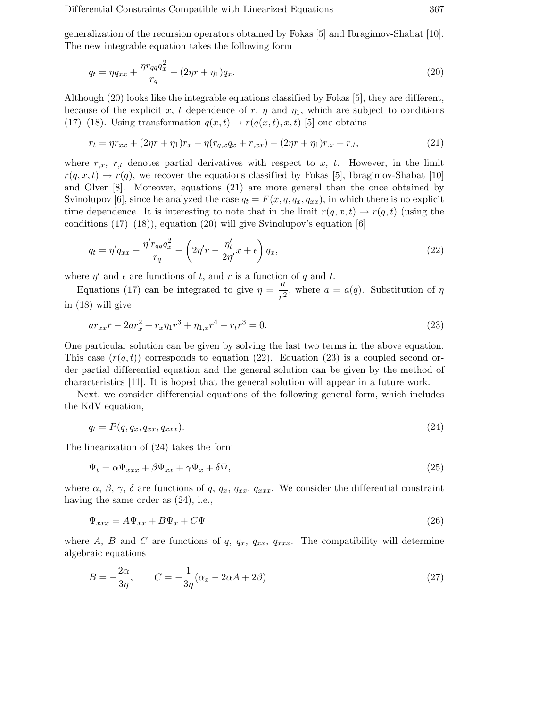generalization of the recursion operators obtained by Fokas [5] and Ibragimov-Shabat [10]. The new integrable equation takes the following form

$$
q_t = \eta q_{xx} + \frac{\eta r_{qq} q_x^2}{r_q} + (2\eta r + \eta_1) q_x.
$$
\n(20)

Although  $(20)$  looks like the integrable equations classified by Fokas  $[5]$ , they are different, because of the explicit x, t dependence of r,  $\eta$  and  $\eta_1$ , which are subject to conditions (17)–(18). Using transformation  $q(x,t) \rightarrow r(q(x,t), x, t)$  [5] one obtains

$$
r_t = \eta r_{xx} + (2\eta r + \eta_1) r_x - \eta (r_{q,x} q_x + r_{,xx}) - (2\eta r + \eta_1) r_{,x} + r_{,t},
$$
\n(21)

where  $r_{,x}$ ,  $r_{,t}$  denotes partial derivatives with respect to x, t. However, in the limit  $r(q, x, t) \rightarrow r(q)$ , we recover the equations classified by Fokas [5], Ibragimov-Shabat [10] and Olver [8]. Moreover, equations (21) are more general than the once obtained by Svinolupov [6], since he analyzed the case  $q_t = F(x, q, q_x, q_{xx})$ , in which there is no explicit time dependence. It is interesting to note that in the limit  $r(q, x, t) \rightarrow r(q, t)$  (using the conditions  $(17)–(18)$ , equation  $(20)$  will give Svinolupov's equation [6]

$$
q_t = \eta' q_{xx} + \frac{\eta' r_{qq} q_x^2}{r_q} + \left(2\eta' r - \frac{\eta'_t}{2\eta'} x + \epsilon\right) q_x,\tag{22}
$$

where  $\eta'$  and  $\epsilon$  are functions of t, and r is a function of q and t.

Equations (17) can be integrated to give  $\eta = \frac{a}{r^2}$ , where  $a = a(q)$ . Substitution of  $\eta$ in (18) will give

$$
ar_{xx}r - 2ar_x^2 + r_x\eta_1r^3 + \eta_{1,x}r^4 - r_tr^3 = 0.
$$
\n(23)

One particular solution can be given by solving the last two terms in the above equation. This case  $(r(q,t))$  corresponds to equation (22). Equation (23) is a coupled second order partial differential equation and the general solution can be given by the method of characteristics [11]. It is hoped that the general solution will appear in a future work.

Next, we consider differential equations of the following general form, which includes the KdV equation,

$$
q_t = P(q, q_x, q_{xx}, q_{xxx}).
$$
\n
$$
(24)
$$

The linearization of (24) takes the form

$$
\Psi_t = \alpha \Psi_{xxx} + \beta \Psi_{xx} + \gamma \Psi_x + \delta \Psi,
$$
\n(25)

where  $\alpha$ ,  $\beta$ ,  $\gamma$ ,  $\delta$  are functions of q,  $q_x$ ,  $q_{xx}$ ,  $q_{xxx}$ . We consider the differential constraint having the same order as (24), i.e.,

$$
\Psi_{xxx} = A\Psi_{xx} + B\Psi_x + C\Psi \tag{26}
$$

where A, B and C are functions of q,  $q_x$ ,  $q_{xx}$ ,  $q_{xx}$ . The compatibility will determine algebraic equations

$$
B = -\frac{2\alpha}{3\eta}, \qquad C = -\frac{1}{3\eta}(\alpha_x - 2\alpha A + 2\beta)
$$
\n(27)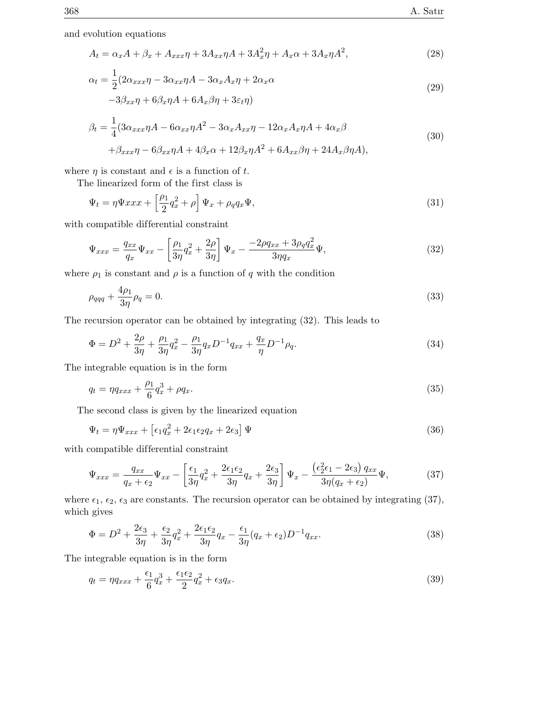and evolution equations

$$
A_t = \alpha_x A + \beta_x + A_{xxx}\eta + 3A_{xx}\eta A + 3A_x^2\eta + A_x\alpha + 3A_x\eta A^2,
$$
\n
$$
(28)
$$

$$
\alpha_t = \frac{1}{2} (2\alpha_{xxx}\eta - 3\alpha_{xx}\eta A - 3\alpha_x A_x \eta + 2\alpha_x \alpha -3\beta_{xx}\eta + 6\beta_x \eta A + 6A_x \beta \eta + 3\varepsilon_t \eta)
$$
\n(29)

$$
\beta_t = \frac{1}{4} (3\alpha_{xxx}\eta A - 6\alpha_{xx}\eta A^2 - 3\alpha_x A_{xx}\eta - 12\alpha_x A_x\eta A + 4\alpha_x\beta
$$
  
+ 
$$
\beta_{xxx}\eta - 6\beta_{xx}\eta A + 4\beta_x\alpha + 12\beta_x\eta A^2 + 6A_{xx}\beta\eta + 24A_x\beta\eta A),
$$
\n(30)

where  $\eta$  is constant and  $\epsilon$  is a function of t.

The linearized form of the first class is

$$
\Psi_t = \eta \Psi x x x + \left[\frac{\rho_1}{2} q_x^2 + \rho\right] \Psi_x + \rho_q q_x \Psi,
$$
\n(31)

with compatible differential constraint

$$
\Psi_{xxx} = \frac{q_{xx}}{q_x} \Psi_{xx} - \left[ \frac{\rho_1}{3\eta} q_x^2 + \frac{2\rho}{3\eta} \right] \Psi_x - \frac{-2\rho q_{xx} + 3\rho_q q_x^2}{3\eta q_x} \Psi,
$$
\n(32)

where  $\rho_1$  is constant and  $\rho$  is a function of q with the condition

$$
\rho_{qqq} + \frac{4\rho_1}{3\eta} \rho_q = 0. \tag{33}
$$

The recursion operator can be obtained by integrating (32). This leads to

$$
\Phi = D^2 + \frac{2\rho}{3\eta} + \frac{\rho_1}{3\eta}q_x^2 - \frac{\rho_1}{3\eta}q_x D^{-1}q_{xx} + \frac{q_x}{\eta} D^{-1}\rho_q.
$$
\n(34)

The integrable equation is in the form

$$
q_t = \eta q_{xxx} + \frac{\rho_1}{6} q_x^3 + \rho q_x. \tag{35}
$$

The second class is given by the linearized equation

$$
\Psi_t = \eta \Psi_{xxx} + \left[\epsilon_1 q_x^2 + 2\epsilon_1 \epsilon_2 q_x + 2\epsilon_3\right] \Psi \tag{36}
$$

with compatible differential constraint

$$
\Psi_{xxx} = \frac{q_{xx}}{q_x + \epsilon_2} \Psi_{xx} - \left[ \frac{\epsilon_1}{3\eta} q_x^2 + \frac{2\epsilon_1 \epsilon_2}{3\eta} q_x + \frac{2\epsilon_3}{3\eta} \right] \Psi_x - \frac{(\epsilon_2^2 \epsilon_1 - 2\epsilon_3) q_{xx}}{3\eta (q_x + \epsilon_2)} \Psi,
$$
\n(37)

where  $\epsilon_1$ ,  $\epsilon_2$ ,  $\epsilon_3$  are constants. The recursion operator can be obtained by integrating (37), which gives

$$
\Phi = D^2 + \frac{2\epsilon_3}{3\eta} + \frac{\epsilon_2}{3\eta}q_x^2 + \frac{2\epsilon_1\epsilon_2}{3\eta}q_x - \frac{\epsilon_1}{3\eta}(q_x + \epsilon_2)D^{-1}q_{xx}.
$$
\n(38)

The integrable equation is in the form

$$
q_t = \eta q_{xxx} + \frac{\epsilon_1}{6} q_x^3 + \frac{\epsilon_1 \epsilon_2}{2} q_x^2 + \epsilon_3 q_x. \tag{39}
$$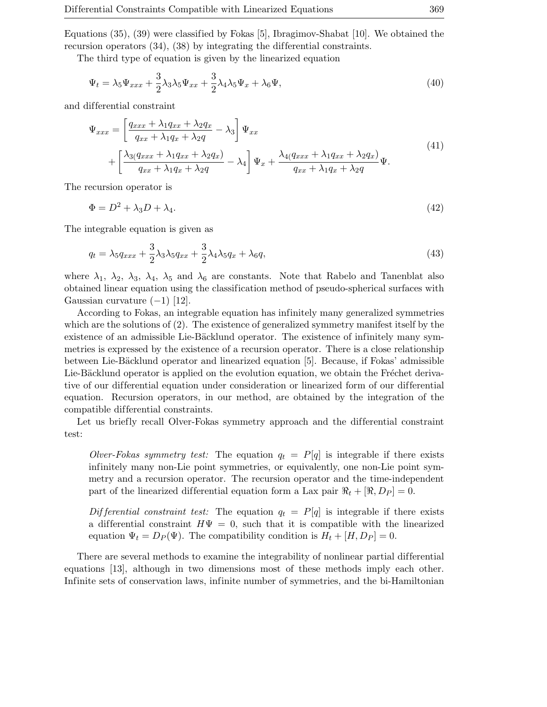Equations (35), (39) were classified by Fokas [5], Ibragimov-Shabat [10]. We obtained the recursion operators  $(34)$ ,  $(38)$  by integrating the differential constraints.

The third type of equation is given by the linearized equation

$$
\Psi_t = \lambda_5 \Psi_{xxx} + \frac{3}{2} \lambda_3 \lambda_5 \Psi_{xx} + \frac{3}{2} \lambda_4 \lambda_5 \Psi_x + \lambda_6 \Psi,
$$
\n(40)

and dif ferential constraint

$$
\Psi_{xxx} = \left[\frac{q_{xxx} + \lambda_1 q_{xx} + \lambda_2 q_x}{q_{xx} + \lambda_1 q_x + \lambda_2 q} - \lambda_3\right] \Psi_{xx}
$$
\n
$$
+ \left[\frac{\lambda_3 (q_{xxx} + \lambda_1 q_{xx} + \lambda_2 q_x)}{q_{xx} + \lambda_1 q_x + \lambda_2 q} - \lambda_4\right] \Psi_x + \frac{\lambda_4 (q_{xxx} + \lambda_1 q_{xx} + \lambda_2 q_x)}{q_{xx} + \lambda_1 q_x + \lambda_2 q} \Psi.
$$
\n(41)

The recursion operator is

$$
\Phi = D^2 + \lambda_3 D + \lambda_4. \tag{42}
$$

The integrable equation is given as

$$
q_t = \lambda_5 q_{xxx} + \frac{3}{2} \lambda_3 \lambda_5 q_{xx} + \frac{3}{2} \lambda_4 \lambda_5 q_x + \lambda_6 q,
$$
\n
$$
\tag{43}
$$

where  $\lambda_1$ ,  $\lambda_2$ ,  $\lambda_3$ ,  $\lambda_4$ ,  $\lambda_5$  and  $\lambda_6$  are constants. Note that Rabelo and Tanenblat also obtained linear equation using the classification method of pseudo-spherical surfaces with Gaussian curvature  $(-1)$  [12].

According to Fokas, an integrable equation has infinitely many generalized symmetries which are the solutions of (2). The existence of generalized symmetry manifest itself by the existence of an admissible Lie-Bäcklund operator. The existence of infinitely many symmetries is expressed by the existence of a recursion operator. There is a close relationship between Lie-Bäcklund operator and linearized equation [5]. Because, if Fokas' admissible Lie-Bäcklund operator is applied on the evolution equation, we obtain the Fréchet derivative of our differential equation under consideration or linearized form of our differential equation. Recursion operators, in our method, are obtained by the integration of the compatible dif ferential constraints.

Let us briefly recall Olver-Fokas symmetry approach and the differential constraint test:

Olver-Fokas symmetry test: The equation  $q_t = P[q]$  is integrable if there exists infinitely many non-Lie point symmetries, or equivalently, one non-Lie point symmetry and a recursion operator. The recursion operator and the time-independent part of the linearized differential equation form a Lax pair  $\Re_t + [\Re, D_P] = 0$ .

Differential constraint test: The equation  $q_t = P[q]$  is integrable if there exists a differential constraint  $H\Psi = 0$ , such that it is compatible with the linearized equation  $\Psi_t = D_P(\Psi)$ . The compatibility condition is  $H_t + [H, D_P] = 0$ .

There are several methods to examine the integrability of nonlinear partial differential equations [13], although in two dimensions most of these methods imply each other. Infinite sets of conservation laws, infinite number of symmetries, and the bi-Hamiltonian